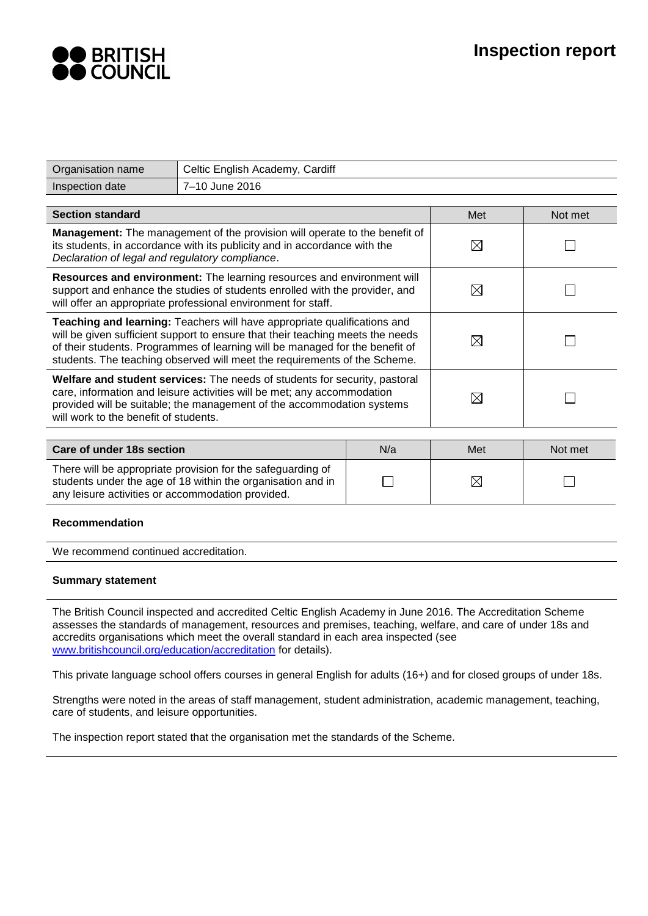

| Organisation name                                                                                                                                                                                                                                                                                                       | Celtic English Academy, Cardiff |             |             |         |  |
|-------------------------------------------------------------------------------------------------------------------------------------------------------------------------------------------------------------------------------------------------------------------------------------------------------------------------|---------------------------------|-------------|-------------|---------|--|
| Inspection date                                                                                                                                                                                                                                                                                                         | 7-10 June 2016                  |             |             |         |  |
|                                                                                                                                                                                                                                                                                                                         |                                 |             |             |         |  |
| <b>Section standard</b>                                                                                                                                                                                                                                                                                                 |                                 |             | Met         | Not met |  |
| Management: The management of the provision will operate to the benefit of<br>its students, in accordance with its publicity and in accordance with the<br>Declaration of legal and regulatory compliance.                                                                                                              |                                 |             | $\boxtimes$ |         |  |
| Resources and environment: The learning resources and environment will<br>support and enhance the studies of students enrolled with the provider, and<br>will offer an appropriate professional environment for staff.                                                                                                  |                                 | ⊠           |             |         |  |
| Teaching and learning: Teachers will have appropriate qualifications and<br>will be given sufficient support to ensure that their teaching meets the needs<br>of their students. Programmes of learning will be managed for the benefit of<br>students. The teaching observed will meet the requirements of the Scheme. |                                 |             | $\boxtimes$ |         |  |
| Welfare and student services: The needs of students for security, pastoral<br>care, information and leisure activities will be met; any accommodation<br>provided will be suitable; the management of the accommodation systems<br>will work to the benefit of students.                                                |                                 | ⊠           |             |         |  |
|                                                                                                                                                                                                                                                                                                                         |                                 |             |             |         |  |
| Care of under 18s section                                                                                                                                                                                                                                                                                               |                                 | N/a         | Met         | Not met |  |
| There will be appropriate provision for the safeguarding of<br>students under the age of 18 within the organisation and in<br>any leisure activities or accommodation provided.                                                                                                                                         |                                 | $\boxtimes$ |             |         |  |
| . 1 . 1                                                                                                                                                                                                                                                                                                                 |                                 |             |             |         |  |

## **Recommendation**

We recommend continued accreditation.

#### **Summary statement**

The British Council inspected and accredited Celtic English Academy in June 2016. The Accreditation Scheme assesses the standards of management, resources and premises, teaching, welfare, and care of under 18s and accredits organisations which meet the overall standard in each area inspected (see [www.britishcouncil.org/education/accreditation](http://www.britishcouncil.org/education/accreditation) for details).

This private language school offers courses in general English for adults (16+) and for closed groups of under 18s.

Strengths were noted in the areas of staff management, student administration, academic management, teaching, care of students, and leisure opportunities.

The inspection report stated that the organisation met the standards of the Scheme.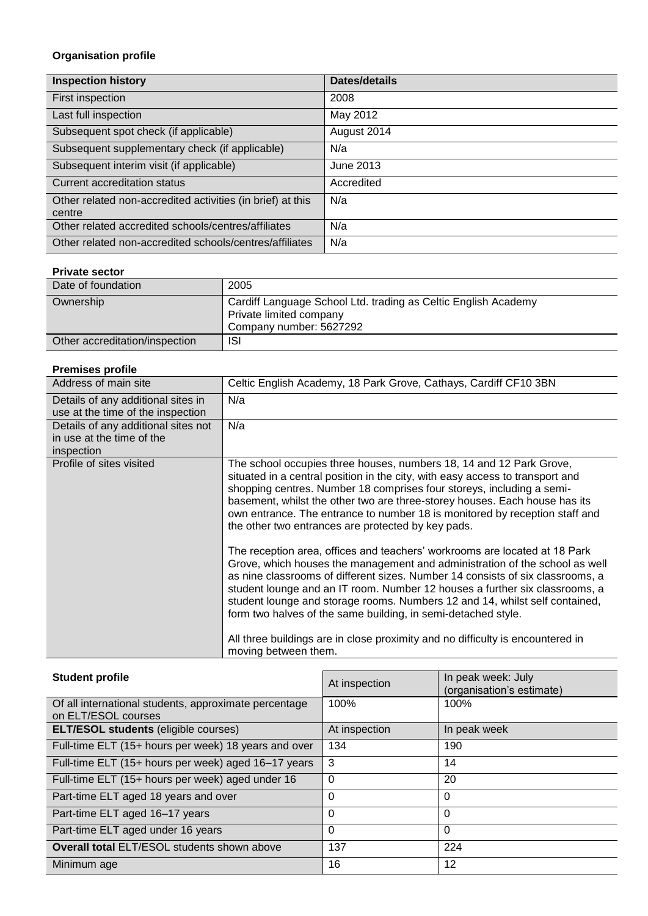# **Organisation profile**

| <b>Inspection history</b>                                            | <b>Dates/details</b> |
|----------------------------------------------------------------------|----------------------|
| First inspection                                                     | 2008                 |
| Last full inspection                                                 | May 2012             |
| Subsequent spot check (if applicable)                                | August 2014          |
| Subsequent supplementary check (if applicable)                       | N/a                  |
| Subsequent interim visit (if applicable)                             | June 2013            |
| <b>Current accreditation status</b>                                  | Accredited           |
| Other related non-accredited activities (in brief) at this<br>centre | N/a                  |
| Other related accredited schools/centres/affiliates                  | N/a                  |
| Other related non-accredited schools/centres/affiliates              | N/a                  |

## **Private sector**

| Date of foundation             | 2005                                                                                                                 |
|--------------------------------|----------------------------------------------------------------------------------------------------------------------|
| Ownership                      | Cardiff Language School Ltd. trading as Celtic English Academy<br>Private limited company<br>Company number: 5627292 |
| Other accreditation/inspection | <b>ISI</b>                                                                                                           |

## **Premises profile**

| <b>PIGINISES DI ONG</b>             |                                                                                                                                                                                                                                                                                                                                                                                                                                                                                                                                                                                      |
|-------------------------------------|--------------------------------------------------------------------------------------------------------------------------------------------------------------------------------------------------------------------------------------------------------------------------------------------------------------------------------------------------------------------------------------------------------------------------------------------------------------------------------------------------------------------------------------------------------------------------------------|
| Address of main site                | Celtic English Academy, 18 Park Grove, Cathays, Cardiff CF10 3BN                                                                                                                                                                                                                                                                                                                                                                                                                                                                                                                     |
| Details of any additional sites in  | N/a                                                                                                                                                                                                                                                                                                                                                                                                                                                                                                                                                                                  |
| use at the time of the inspection   |                                                                                                                                                                                                                                                                                                                                                                                                                                                                                                                                                                                      |
| Details of any additional sites not | N/a                                                                                                                                                                                                                                                                                                                                                                                                                                                                                                                                                                                  |
| in use at the time of the           |                                                                                                                                                                                                                                                                                                                                                                                                                                                                                                                                                                                      |
| inspection                          |                                                                                                                                                                                                                                                                                                                                                                                                                                                                                                                                                                                      |
| Profile of sites visited            | The school occupies three houses, numbers 18, 14 and 12 Park Grove,<br>situated in a central position in the city, with easy access to transport and<br>shopping centres. Number 18 comprises four storeys, including a semi-<br>basement, whilst the other two are three-storey houses. Each house has its<br>own entrance. The entrance to number 18 is monitored by reception staff and<br>the other two entrances are protected by key pads.                                                                                                                                     |
|                                     | The reception area, offices and teachers' workrooms are located at 18 Park<br>Grove, which houses the management and administration of the school as well<br>as nine classrooms of different sizes. Number 14 consists of six classrooms, a<br>student lounge and an IT room. Number 12 houses a further six classrooms, a<br>student lounge and storage rooms. Numbers 12 and 14, whilst self contained,<br>form two halves of the same building, in semi-detached style.<br>All three buildings are in close proximity and no difficulty is encountered in<br>moving between them. |

| <b>Student profile</b>                                                       | At inspection | In peak week: July<br>(organisation's estimate) |  |
|------------------------------------------------------------------------------|---------------|-------------------------------------------------|--|
| Of all international students, approximate percentage<br>on ELT/ESOL courses | 100%          | 100%                                            |  |
| <b>ELT/ESOL students (eligible courses)</b>                                  | At inspection | In peak week                                    |  |
| Full-time ELT (15+ hours per week) 18 years and over                         | 134           | 190                                             |  |
| Full-time ELT (15+ hours per week) aged 16-17 years                          | 3             | 14                                              |  |
| Full-time ELT (15+ hours per week) aged under 16                             | 0             | 20                                              |  |
| Part-time ELT aged 18 years and over                                         | 0             | 0                                               |  |
| Part-time ELT aged 16-17 years                                               | 0             | 0                                               |  |
| Part-time ELT aged under 16 years                                            | 0             | $\Omega$                                        |  |
| <b>Overall total ELT/ESOL students shown above</b>                           | 137           | 224                                             |  |
| Minimum age                                                                  | 16            | 12                                              |  |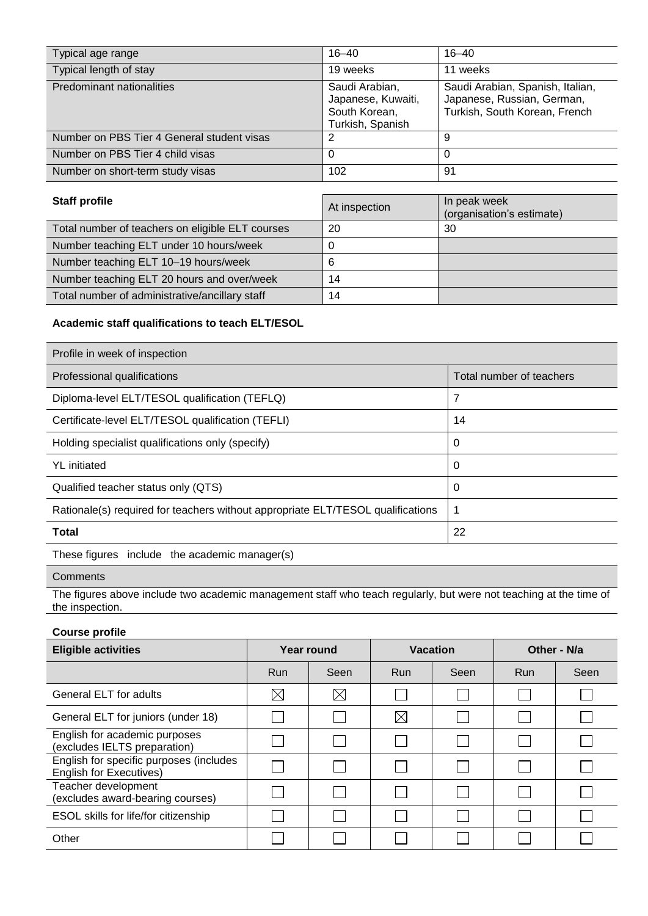| Typical age range                          | $16 - 40$                                                                 | $16 - 40$                                                                                       |
|--------------------------------------------|---------------------------------------------------------------------------|-------------------------------------------------------------------------------------------------|
| Typical length of stay                     | 19 weeks                                                                  | 11 weeks                                                                                        |
| <b>Predominant nationalities</b>           | Saudi Arabian,<br>Japanese, Kuwaiti,<br>South Korean,<br>Turkish, Spanish | Saudi Arabian, Spanish, Italian,<br>Japanese, Russian, German,<br>Turkish, South Korean, French |
| Number on PBS Tier 4 General student visas |                                                                           | 9                                                                                               |
| Number on PBS Tier 4 child visas           | 0                                                                         | 0                                                                                               |
| Number on short-term study visas           | 102                                                                       | -91                                                                                             |

| <b>Staff profile</b>                             | At inspection | In peak week<br>(organisation's estimate) |
|--------------------------------------------------|---------------|-------------------------------------------|
| Total number of teachers on eligible ELT courses | 20            | 30                                        |
| Number teaching ELT under 10 hours/week          |               |                                           |
| Number teaching ELT 10-19 hours/week             |               |                                           |
| Number teaching ELT 20 hours and over/week       | 14            |                                           |
| Total number of administrative/ancillary staff   | 14            |                                           |

# **Academic staff qualifications to teach ELT/ESOL**

| Profile in week of inspection                                                   |                          |
|---------------------------------------------------------------------------------|--------------------------|
| Professional qualifications                                                     | Total number of teachers |
| Diploma-level ELT/TESOL qualification (TEFLQ)                                   | 7                        |
| Certificate-level ELT/TESOL qualification (TEFLI)                               | 14                       |
| Holding specialist qualifications only (specify)                                | 0                        |
| <b>YL</b> initiated                                                             | 0                        |
| Qualified teacher status only (QTS)                                             | 0                        |
| Rationale(s) required for teachers without appropriate ELT/TESOL qualifications | -1                       |
| <b>Total</b>                                                                    | 22                       |

These figures include the academic manager(s)

## **Comments**

The figures above include two academic management staff who teach regularly, but were not teaching at the time of the inspection.

## **Course profile**

| <b>Eligible activities</b>                                                | Year round  |             | Vacation    |      | Other - N/a |      |
|---------------------------------------------------------------------------|-------------|-------------|-------------|------|-------------|------|
|                                                                           | Run         | Seen        | <b>Run</b>  | Seen | <b>Run</b>  | Seen |
| General ELT for adults                                                    | $\boxtimes$ | $\boxtimes$ |             |      |             |      |
| General ELT for juniors (under 18)                                        |             |             | $\boxtimes$ |      |             |      |
| English for academic purposes<br>(excludes IELTS preparation)             |             |             | L           |      |             |      |
| English for specific purposes (includes<br><b>English for Executives)</b> |             |             |             |      |             |      |
| Teacher development<br>(excludes award-bearing courses)                   |             |             |             |      |             |      |
| ESOL skills for life/for citizenship                                      |             |             |             |      |             |      |
| Other                                                                     |             |             |             |      |             |      |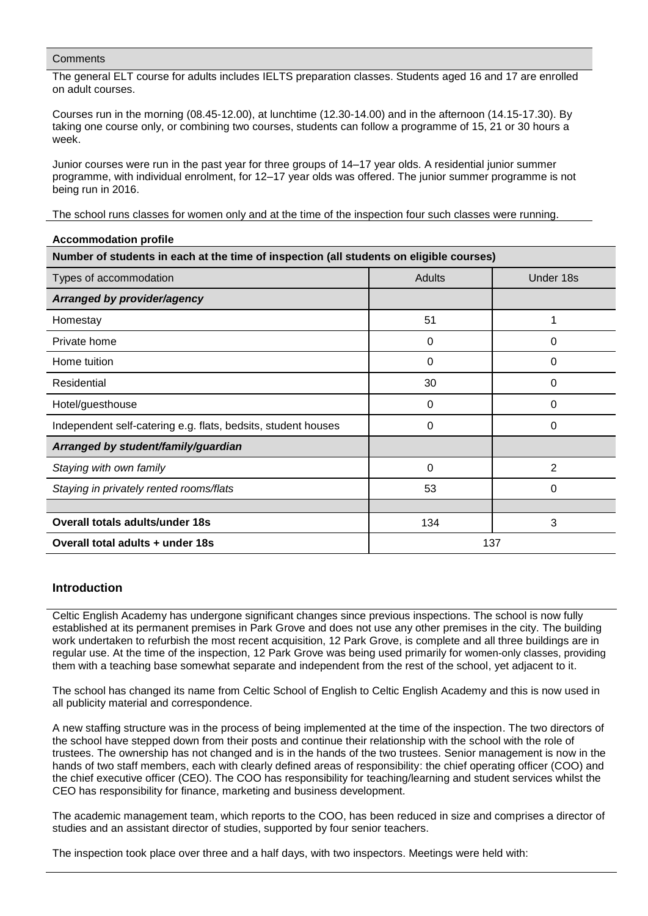The general ELT course for adults includes IELTS preparation classes. Students aged 16 and 17 are enrolled on adult courses.

Courses run in the morning (08.45-12.00), at lunchtime (12.30-14.00) and in the afternoon (14.15-17.30). By taking one course only, or combining two courses, students can follow a programme of 15, 21 or 30 hours a week.

Junior courses were run in the past year for three groups of 14–17 year olds. A residential junior summer programme, with individual enrolment, for 12–17 year olds was offered. The junior summer programme is not being run in 2016.

The school runs classes for women only and at the time of the inspection four such classes were running.

| <b>Accommodation profile</b>                                                            |        |              |  |  |  |
|-----------------------------------------------------------------------------------------|--------|--------------|--|--|--|
| Number of students in each at the time of inspection (all students on eligible courses) |        |              |  |  |  |
| Types of accommodation                                                                  | Adults | Under 18s    |  |  |  |
| Arranged by provider/agency                                                             |        |              |  |  |  |
| Homestay                                                                                | 51     | 1            |  |  |  |
| Private home                                                                            | 0      | 0            |  |  |  |
| Home tuition                                                                            | 0      | 0            |  |  |  |
| Residential                                                                             | 30     | 0            |  |  |  |
| Hotel/guesthouse                                                                        | 0      | 0            |  |  |  |
| Independent self-catering e.g. flats, bedsits, student houses                           | 0      | 0            |  |  |  |
| Arranged by student/family/guardian                                                     |        |              |  |  |  |
| Staying with own family                                                                 | 0      | 2            |  |  |  |
| Staying in privately rented rooms/flats                                                 | 53     | 0            |  |  |  |
|                                                                                         |        |              |  |  |  |
| <b>Overall totals adults/under 18s</b>                                                  | 134    | $\mathbf{3}$ |  |  |  |
| Overall total adults + under 18s<br>137                                                 |        |              |  |  |  |

## **Introduction**

Celtic English Academy has undergone significant changes since previous inspections. The school is now fully established at its permanent premises in Park Grove and does not use any other premises in the city. The building work undertaken to refurbish the most recent acquisition, 12 Park Grove, is complete and all three buildings are in regular use. At the time of the inspection, 12 Park Grove was being used primarily for women-only classes, providing them with a teaching base somewhat separate and independent from the rest of the school, yet adjacent to it.

The school has changed its name from Celtic School of English to Celtic English Academy and this is now used in all publicity material and correspondence.

A new staffing structure was in the process of being implemented at the time of the inspection. The two directors of the school have stepped down from their posts and continue their relationship with the school with the role of trustees. The ownership has not changed and is in the hands of the two trustees. Senior management is now in the hands of two staff members, each with clearly defined areas of responsibility: the chief operating officer (COO) and the chief executive officer (CEO). The COO has responsibility for teaching/learning and student services whilst the CEO has responsibility for finance, marketing and business development.

The academic management team, which reports to the COO, has been reduced in size and comprises a director of studies and an assistant director of studies, supported by four senior teachers.

The inspection took place over three and a half days, with two inspectors. Meetings were held with: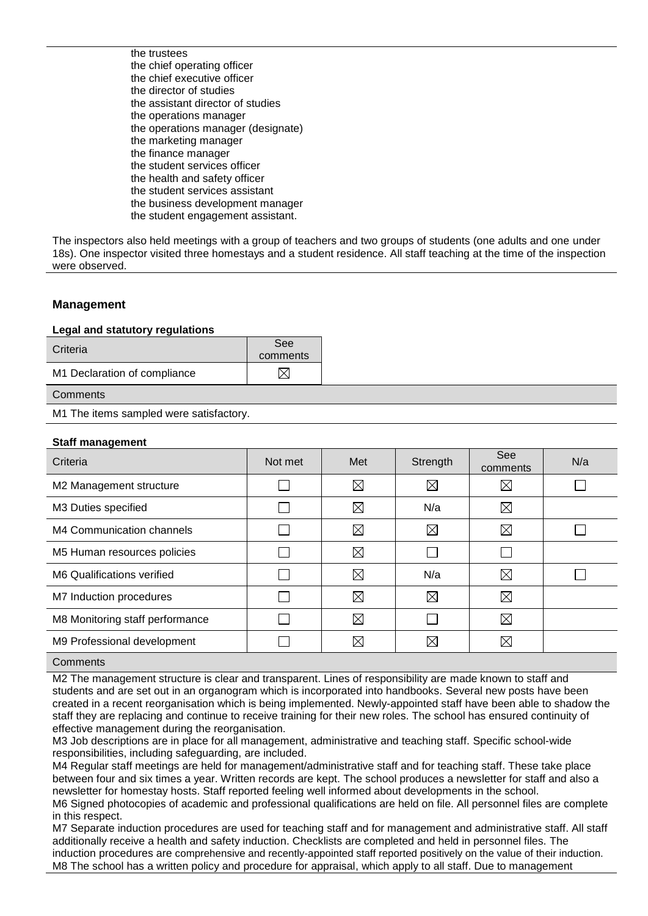the trustees the chief operating officer the chief executive officer the director of studies the assistant director of studies the operations manager the operations manager (designate) the marketing manager the finance manager the student services officer the health and safety officer the student services assistant the business development manager the student engagement assistant.

The inspectors also held meetings with a group of teachers and two groups of students (one adults and one under 18s). One inspector visited three homestays and a student residence. All staff teaching at the time of the inspection were observed.

## **Management**

#### **Legal and statutory regulations**

| Criteria                     | See<br>comments |
|------------------------------|-----------------|
| M1 Declaration of compliance | $\boxtimes$     |
| Comments                     |                 |

M1 The items sampled were satisfactory.

## **Staff management**

| Criteria                        | Not met | Met         | Strength    | See<br>comments | N/a |
|---------------------------------|---------|-------------|-------------|-----------------|-----|
| M2 Management structure         |         | $\boxtimes$ | $\boxtimes$ | $\boxtimes$     |     |
| M3 Duties specified             |         | $\boxtimes$ | N/a         | ⊠               |     |
| M4 Communication channels       |         | $\boxtimes$ | $\boxtimes$ | ⊠               |     |
| M5 Human resources policies     |         | $\boxtimes$ |             |                 |     |
| M6 Qualifications verified      |         | $\boxtimes$ | N/a         | $\boxtimes$     |     |
| M7 Induction procedures         |         | $\boxtimes$ | $\boxtimes$ | ⊠               |     |
| M8 Monitoring staff performance |         | $\boxtimes$ |             | ⊠               |     |
| M9 Professional development     |         | $\boxtimes$ | $\boxtimes$ | ⊠               |     |
|                                 |         |             |             |                 |     |

#### **Comments**

M2 The management structure is clear and transparent. Lines of responsibility are made known to staff and students and are set out in an organogram which is incorporated into handbooks. Several new posts have been created in a recent reorganisation which is being implemented. Newly-appointed staff have been able to shadow the staff they are replacing and continue to receive training for their new roles. The school has ensured continuity of effective management during the reorganisation.

M3 Job descriptions are in place for all management, administrative and teaching staff. Specific school-wide responsibilities, including safeguarding, are included.

M4 Regular staff meetings are held for management/administrative staff and for teaching staff. These take place between four and six times a year. Written records are kept. The school produces a newsletter for staff and also a newsletter for homestay hosts. Staff reported feeling well informed about developments in the school.

M6 Signed photocopies of academic and professional qualifications are held on file. All personnel files are complete in this respect.

M7 Separate induction procedures are used for teaching staff and for management and administrative staff. All staff additionally receive a health and safety induction. Checklists are completed and held in personnel files. The induction procedures are comprehensive and recently-appointed staff reported positively on the value of their induction. M8 The school has a written policy and procedure for appraisal, which apply to all staff. Due to management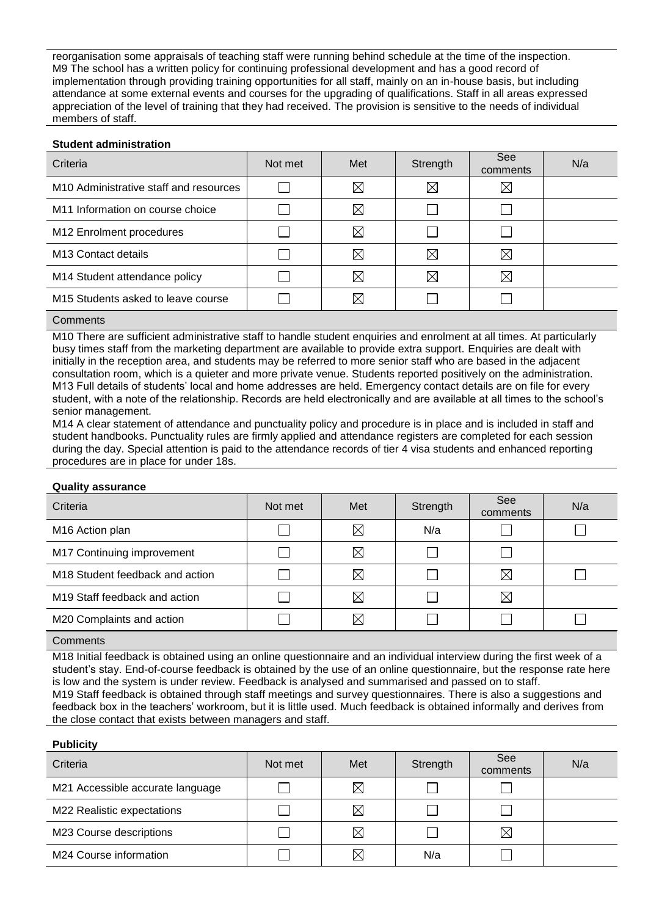reorganisation some appraisals of teaching staff were running behind schedule at the time of the inspection. M9 The school has a written policy for continuing professional development and has a good record of implementation through providing training opportunities for all staff, mainly on an in-house basis, but including attendance at some external events and courses for the upgrading of qualifications. Staff in all areas expressed appreciation of the level of training that they had received. The provision is sensitive to the needs of individual members of staff.

## **Student administration**

| N/a |
|-----|
|     |
|     |
|     |
|     |
|     |
|     |
|     |

#### **Comments**

M10 There are sufficient administrative staff to handle student enquiries and enrolment at all times. At particularly busy times staff from the marketing department are available to provide extra support. Enquiries are dealt with initially in the reception area, and students may be referred to more senior staff who are based in the adjacent consultation room, which is a quieter and more private venue. Students reported positively on the administration. M13 Full details of students' local and home addresses are held. Emergency contact details are on file for every student, with a note of the relationship. Records are held electronically and are available at all times to the school's senior management.

M14 A clear statement of attendance and punctuality policy and procedure is in place and is included in staff and student handbooks. Punctuality rules are firmly applied and attendance registers are completed for each session during the day. Special attention is paid to the attendance records of tier 4 visa students and enhanced reporting procedures are in place for under 18s.

#### **Quality assurance**

| Criteria                                    | Not met | Met         | Strength | See<br>comments | N/a |
|---------------------------------------------|---------|-------------|----------|-----------------|-----|
| M16 Action plan                             |         | $\boxtimes$ | N/a      |                 |     |
| M17 Continuing improvement                  |         | $\boxtimes$ |          |                 |     |
| M <sub>18</sub> Student feedback and action |         | $\boxtimes$ |          | $\boxtimes$     |     |
| M <sub>19</sub> Staff feedback and action   |         | $\boxtimes$ |          | ⊠               |     |
| M20 Complaints and action                   |         | $\boxtimes$ |          |                 |     |
|                                             |         |             |          |                 |     |

**Comments** 

M18 Initial feedback is obtained using an online questionnaire and an individual interview during the first week of a student's stay. End-of-course feedback is obtained by the use of an online questionnaire, but the response rate here is low and the system is under review. Feedback is analysed and summarised and passed on to staff. M19 Staff feedback is obtained through staff meetings and survey questionnaires. There is also a suggestions and feedback box in the teachers' workroom, but it is little used. Much feedback is obtained informally and derives from the close contact that exists between managers and staff.

#### **Publicity**

| Criteria                         | Not met | Met         | Strength | See<br>comments | N/a |
|----------------------------------|---------|-------------|----------|-----------------|-----|
| M21 Accessible accurate language |         | $\boxtimes$ |          |                 |     |
| M22 Realistic expectations       |         | $\boxtimes$ |          |                 |     |
| M23 Course descriptions          |         | $\boxtimes$ |          | $\boxtimes$     |     |
| M24 Course information           |         | $\boxtimes$ | N/a      |                 |     |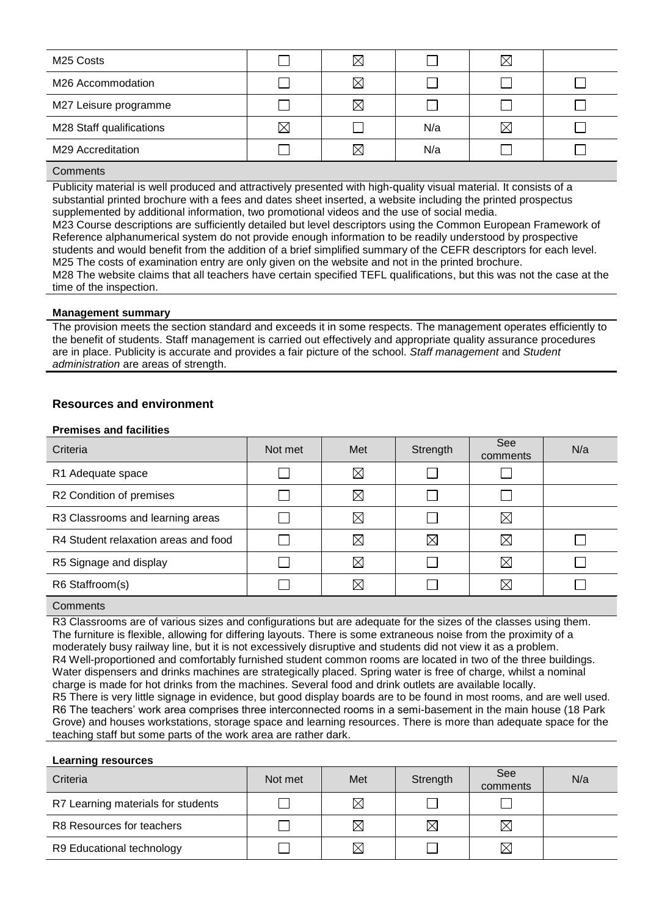| M <sub>25</sub> Costs    |             | $\boxtimes$ |     | $\boxtimes$ |  |
|--------------------------|-------------|-------------|-----|-------------|--|
| M26 Accommodation        |             | $\boxtimes$ |     |             |  |
| M27 Leisure programme    |             | $\boxtimes$ |     |             |  |
| M28 Staff qualifications | $\boxtimes$ |             | N/a | $\boxtimes$ |  |
| M29 Accreditation        |             | ⋉           | N/a |             |  |

Publicity material is well produced and attractively presented with high-quality visual material. It consists of a substantial printed brochure with a fees and dates sheet inserted, a website including the printed prospectus supplemented by additional information, two promotional videos and the use of social media.

M23 Course descriptions are sufficiently detailed but level descriptors using the Common European Framework of Reference alphanumerical system do not provide enough information to be readily understood by prospective students and would benefit from the addition of a brief simplified summary of the CEFR descriptors for each level. M25 The costs of examination entry are only given on the website and not in the printed brochure. M28 The website claims that all teachers have certain specified TEFL qualifications, but this was not the case at the time of the inspection.

## **Management summary**

The provision meets the section standard and exceeds it in some respects. The management operates efficiently to the benefit of students. Staff management is carried out effectively and appropriate quality assurance procedures are in place. Publicity is accurate and provides a fair picture of the school. *Staff management* and *Student administration* are areas of strength.

## **Resources and environment**

#### **Premises and facilities**

| Criteria                             | Not met | Met         | Strength    | See<br>comments | N/a |
|--------------------------------------|---------|-------------|-------------|-----------------|-----|
| R1 Adequate space                    |         | $\boxtimes$ |             |                 |     |
| R2 Condition of premises             |         | $\boxtimes$ |             |                 |     |
| R3 Classrooms and learning areas     |         | $\boxtimes$ |             | $\boxtimes$     |     |
| R4 Student relaxation areas and food |         | $\boxtimes$ | $\boxtimes$ | $\boxtimes$     |     |
| R5 Signage and display               |         | $\boxtimes$ |             | $\boxtimes$     |     |
| R6 Staffroom(s)                      |         | $\boxtimes$ |             | $\boxtimes$     |     |
|                                      |         |             |             |                 |     |

#### **Comments**

R3 Classrooms are of various sizes and configurations but are adequate for the sizes of the classes using them. The furniture is flexible, allowing for differing layouts. There is some extraneous noise from the proximity of a moderately busy railway line, but it is not excessively disruptive and students did not view it as a problem. R4 Well-proportioned and comfortably furnished student common rooms are located in two of the three buildings. Water dispensers and drinks machines are strategically placed. Spring water is free of charge, whilst a nominal charge is made for hot drinks from the machines. Several food and drink outlets are available locally. R5 There is very little signage in evidence, but good display boards are to be found in most rooms, and are well used. R6 The teachers' work area comprises three interconnected rooms in a semi-basement in the main house (18 Park Grove) and houses workstations, storage space and learning resources. There is more than adequate space for the teaching staff but some parts of the work area are rather dark.

#### **Learning resources**

| Criteria                           | Not met | Met         | Strength    | See<br>comments | N/a |
|------------------------------------|---------|-------------|-------------|-----------------|-----|
| R7 Learning materials for students |         | $\boxtimes$ |             |                 |     |
| R8 Resources for teachers          |         | $\boxtimes$ | $\boxtimes$ | $\boxtimes$     |     |
| R9 Educational technology          |         | $\boxtimes$ |             | $\boxtimes$     |     |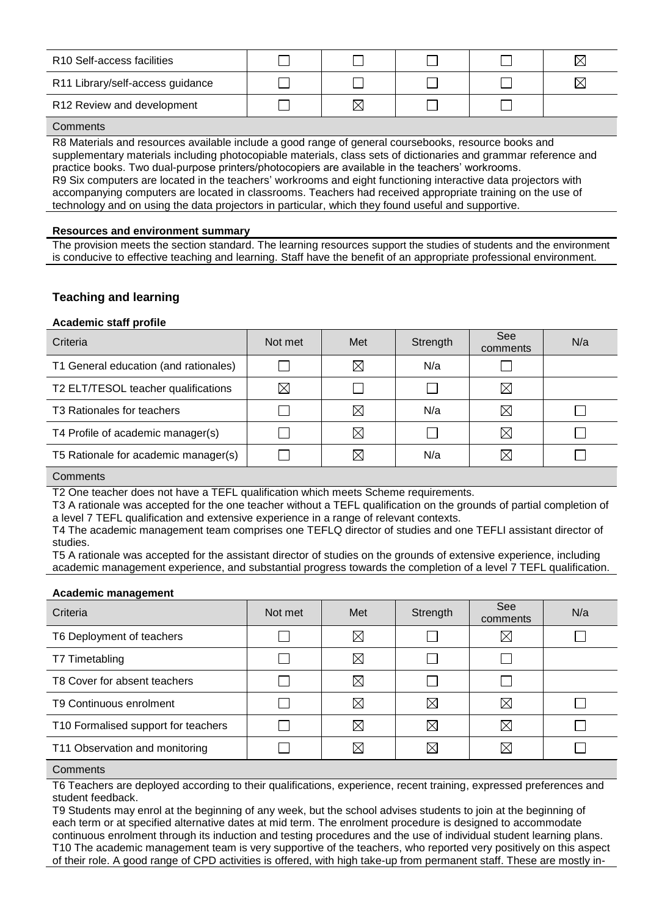| R <sub>10</sub> Self-access facilities |   |  |  |
|----------------------------------------|---|--|--|
| R11 Library/self-access guidance       |   |  |  |
| R12 Review and development             | ⋉ |  |  |
|                                        |   |  |  |

R8 Materials and resources available include a good range of general coursebooks, resource books and supplementary materials including photocopiable materials, class sets of dictionaries and grammar reference and practice books. Two dual-purpose printers/photocopiers are available in the teachers' workrooms. R9 Six computers are located in the teachers' workrooms and eight functioning interactive data projectors with accompanying computers are located in classrooms. Teachers had received appropriate training on the use of technology and on using the data projectors in particular, which they found useful and supportive.

#### **Resources and environment summary**

The provision meets the section standard. The learning resources support the studies of students and the environment is conducive to effective teaching and learning. Staff have the benefit of an appropriate professional environment.

## **Teaching and learning**

## **Academic staff profile**

| Criteria                              | Not met     | Met         | Strength | See<br>comments | N/a |
|---------------------------------------|-------------|-------------|----------|-----------------|-----|
| T1 General education (and rationales) |             | $\boxtimes$ | N/a      |                 |     |
| T2 ELT/TESOL teacher qualifications   | $\boxtimes$ |             |          | ⊠               |     |
| T3 Rationales for teachers            |             | $\boxtimes$ | N/a      | $\boxtimes$     |     |
| T4 Profile of academic manager(s)     |             | $\boxtimes$ |          | $\boxtimes$     |     |
| T5 Rationale for academic manager(s)  |             | $\boxtimes$ | N/a      | ⊠               |     |
|                                       |             |             |          |                 |     |

**Comments** 

T2 One teacher does not have a TEFL qualification which meets Scheme requirements.

T3 A rationale was accepted for the one teacher without a TEFL qualification on the grounds of partial completion of a level 7 TEFL qualification and extensive experience in a range of relevant contexts.

T4 The academic management team comprises one TEFLQ director of studies and one TEFLI assistant director of studies.

T5 A rationale was accepted for the assistant director of studies on the grounds of extensive experience, including academic management experience, and substantial progress towards the completion of a level 7 TEFL qualification.

#### **Academic management**

| Criteria                            | Not met | Met         | Strength    | See<br>comments | N/a |
|-------------------------------------|---------|-------------|-------------|-----------------|-----|
| T6 Deployment of teachers           |         | $\boxtimes$ |             | $\boxtimes$     |     |
| T7 Timetabling                      |         | $\boxtimes$ |             |                 |     |
| T8 Cover for absent teachers        |         | $\boxtimes$ |             |                 |     |
| T9 Continuous enrolment             |         | $\boxtimes$ | $\boxtimes$ | $\bowtie$       |     |
| T10 Formalised support for teachers |         | $\boxtimes$ | $\boxtimes$ | $\boxtimes$     |     |
| T11 Observation and monitoring      |         | $\boxtimes$ | ⋉           | $\boxtimes$     |     |

**Comments** 

T6 Teachers are deployed according to their qualifications, experience, recent training, expressed preferences and student feedback.

T9 Students may enrol at the beginning of any week, but the school advises students to join at the beginning of each term or at specified alternative dates at mid term. The enrolment procedure is designed to accommodate continuous enrolment through its induction and testing procedures and the use of individual student learning plans. T10 The academic management team is very supportive of the teachers, who reported very positively on this aspect of their role. A good range of CPD activities is offered, with high take-up from permanent staff. These are mostly in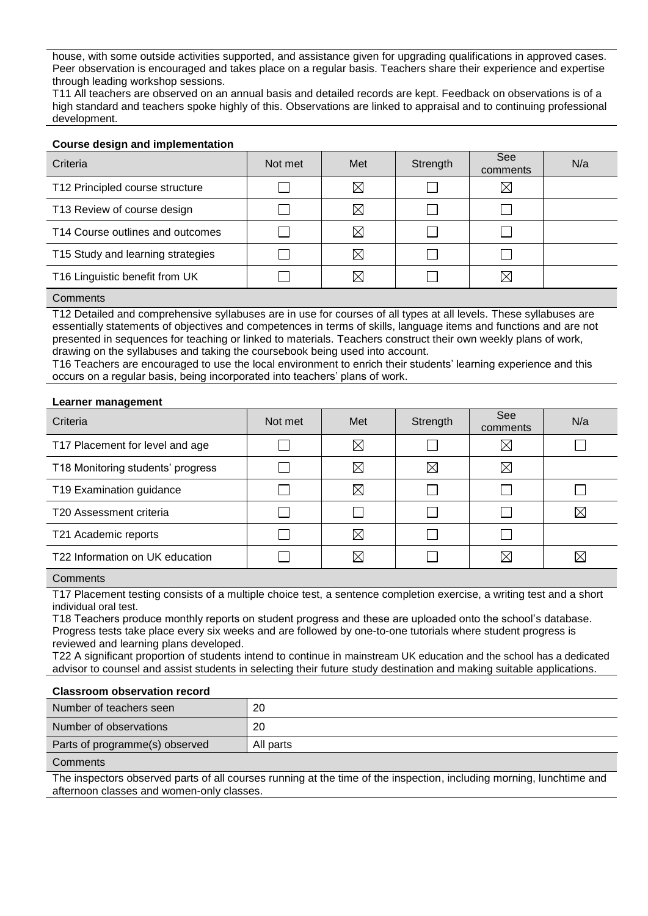house, with some outside activities supported, and assistance given for upgrading qualifications in approved cases. Peer observation is encouraged and takes place on a regular basis. Teachers share their experience and expertise through leading workshop sessions.

T11 All teachers are observed on an annual basis and detailed records are kept. Feedback on observations is of a high standard and teachers spoke highly of this. Observations are linked to appraisal and to continuing professional development.

## **Course design and implementation**

| Criteria                          | Not met | Met         | Strength | See<br>comments | N/a |
|-----------------------------------|---------|-------------|----------|-----------------|-----|
| T12 Principled course structure   |         | $\boxtimes$ |          | $\boxtimes$     |     |
| T13 Review of course design       |         | $\boxtimes$ |          |                 |     |
| T14 Course outlines and outcomes  |         | $\boxtimes$ |          |                 |     |
| T15 Study and learning strategies |         | $\boxtimes$ |          |                 |     |
| T16 Linguistic benefit from UK    |         | $\boxtimes$ |          | $\boxtimes$     |     |

#### **Comments**

T12 Detailed and comprehensive syllabuses are in use for courses of all types at all levels. These syllabuses are essentially statements of objectives and competences in terms of skills, language items and functions and are not presented in sequences for teaching or linked to materials. Teachers construct their own weekly plans of work, drawing on the syllabuses and taking the coursebook being used into account.

T16 Teachers are encouraged to use the local environment to enrich their students' learning experience and this occurs on a regular basis, being incorporated into teachers' plans of work.

#### **Learner management**

| Criteria                          | Not met | Met         | Strength    | See<br>comments | N/a      |
|-----------------------------------|---------|-------------|-------------|-----------------|----------|
| T17 Placement for level and age   |         | $\boxtimes$ |             | $\boxtimes$     |          |
| T18 Monitoring students' progress |         | $\boxtimes$ | $\boxtimes$ | $\boxtimes$     |          |
| T19 Examination guidance          |         | $\boxtimes$ |             |                 |          |
| T20 Assessment criteria           |         |             |             |                 | ⋉        |
| T21 Academic reports              |         | $\boxtimes$ |             |                 |          |
| T22 Information on UK education   |         | ⋉           |             | M               | $\times$ |

## **Comments**

T17 Placement testing consists of a multiple choice test, a sentence completion exercise, a writing test and a short individual oral test.

T18 Teachers produce monthly reports on student progress and these are uploaded onto the school's database. Progress tests take place every six weeks and are followed by one-to-one tutorials where student progress is reviewed and learning plans developed.

T22 A significant proportion of students intend to continue in mainstream UK education and the school has a dedicated advisor to counsel and assist students in selecting their future study destination and making suitable applications.

#### **Classroom observation record**

| Number of teachers seen        | 20        |
|--------------------------------|-----------|
| Number of observations         | 20        |
| Parts of programme(s) observed | All parts |

#### **Comments**

The inspectors observed parts of all courses running at the time of the inspection, including morning, lunchtime and afternoon classes and women-only classes.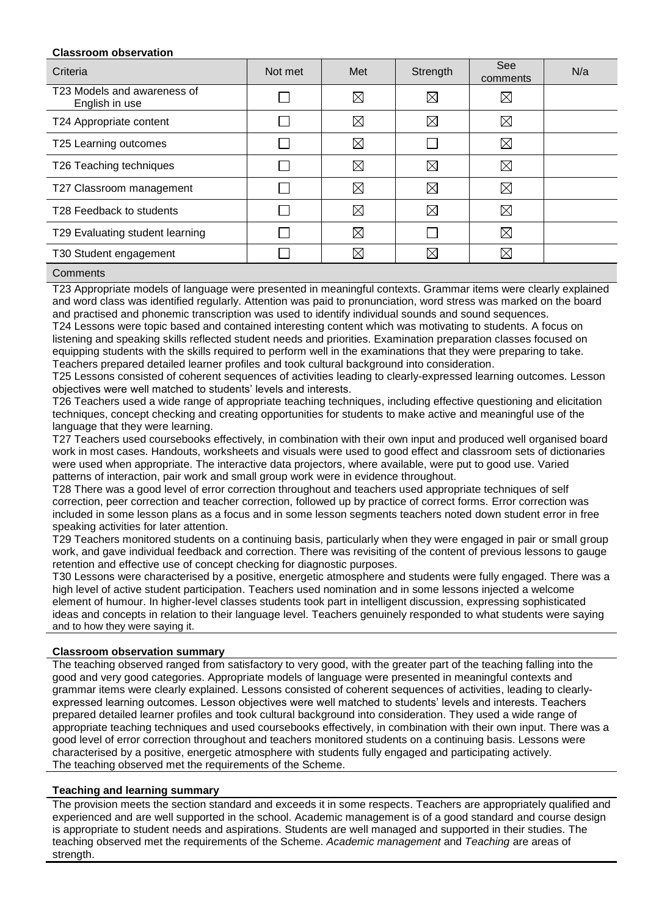## **Classroom observation**

| Criteria                                      | Not met | Met         | Strength    | See<br>comments | N/a |
|-----------------------------------------------|---------|-------------|-------------|-----------------|-----|
| T23 Models and awareness of<br>English in use |         | $\boxtimes$ | $\boxtimes$ | $\boxtimes$     |     |
| T24 Appropriate content                       |         | $\boxtimes$ | $\boxtimes$ | $\boxtimes$     |     |
| T25 Learning outcomes                         |         | $\boxtimes$ |             | ⊠               |     |
| T26 Teaching techniques                       |         | $\boxtimes$ | $\boxtimes$ | $\boxtimes$     |     |
| T27 Classroom management                      |         | $\boxtimes$ | $\boxtimes$ | $\boxtimes$     |     |
| T28 Feedback to students                      |         | $\boxtimes$ | $\boxtimes$ | $\boxtimes$     |     |
| T29 Evaluating student learning               |         | ⊠           |             | $\boxtimes$     |     |
| T30 Student engagement                        |         | $\boxtimes$ | $\boxtimes$ | $\boxtimes$     |     |

#### **Comments**

T23 Appropriate models of language were presented in meaningful contexts. Grammar items were clearly explained and word class was identified regularly. Attention was paid to pronunciation, word stress was marked on the board and practised and phonemic transcription was used to identify individual sounds and sound sequences.

T24 Lessons were topic based and contained interesting content which was motivating to students. A focus on listening and speaking skills reflected student needs and priorities. Examination preparation classes focused on equipping students with the skills required to perform well in the examinations that they were preparing to take. Teachers prepared detailed learner profiles and took cultural background into consideration.

T25 Lessons consisted of coherent sequences of activities leading to clearly-expressed learning outcomes. Lesson objectives were well matched to students' levels and interests.

T26 Teachers used a wide range of appropriate teaching techniques, including effective questioning and elicitation techniques, concept checking and creating opportunities for students to make active and meaningful use of the language that they were learning.

T27 Teachers used coursebooks effectively, in combination with their own input and produced well organised board work in most cases. Handouts, worksheets and visuals were used to good effect and classroom sets of dictionaries were used when appropriate. The interactive data projectors, where available, were put to good use. Varied patterns of interaction, pair work and small group work were in evidence throughout.

T28 There was a good level of error correction throughout and teachers used appropriate techniques of self correction, peer correction and teacher correction, followed up by practice of correct forms. Error correction was included in some lesson plans as a focus and in some lesson segments teachers noted down student error in free speaking activities for later attention.

T29 Teachers monitored students on a continuing basis, particularly when they were engaged in pair or small group work, and gave individual feedback and correction. There was revisiting of the content of previous lessons to gauge retention and effective use of concept checking for diagnostic purposes.

T30 Lessons were characterised by a positive, energetic atmosphere and students were fully engaged. There was a high level of active student participation. Teachers used nomination and in some lessons injected a welcome element of humour. In higher-level classes students took part in intelligent discussion, expressing sophisticated ideas and concepts in relation to their language level. Teachers genuinely responded to what students were saying and to how they were saying it.

## **Classroom observation summary**

The teaching observed ranged from satisfactory to very good, with the greater part of the teaching falling into the good and very good categories. Appropriate models of language were presented in meaningful contexts and grammar items were clearly explained. Lessons consisted of coherent sequences of activities, leading to clearlyexpressed learning outcomes. Lesson objectives were well matched to students' levels and interests. Teachers prepared detailed learner profiles and took cultural background into consideration. They used a wide range of appropriate teaching techniques and used coursebooks effectively, in combination with their own input. There was a good level of error correction throughout and teachers monitored students on a continuing basis. Lessons were characterised by a positive, energetic atmosphere with students fully engaged and participating actively. The teaching observed met the requirements of the Scheme.

## **Teaching and learning summary**

The provision meets the section standard and exceeds it in some respects. Teachers are appropriately qualified and experienced and are well supported in the school. Academic management is of a good standard and course design is appropriate to student needs and aspirations. Students are well managed and supported in their studies. The teaching observed met the requirements of the Scheme. *Academic management* and *Teaching* are areas of strength.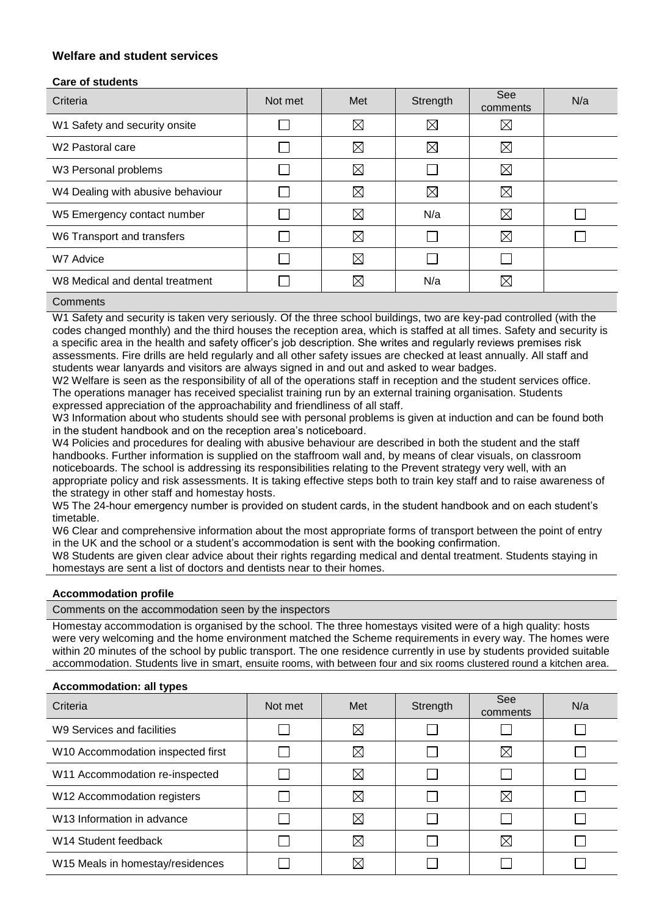## **Welfare and student services**

## **Care of students**

| Criteria                          | Not met | Met         | Strength    | See<br>comments | N/a |
|-----------------------------------|---------|-------------|-------------|-----------------|-----|
| W1 Safety and security onsite     |         | $\boxtimes$ | $\boxtimes$ | $\boxtimes$     |     |
| W <sub>2</sub> Pastoral care      |         | $\boxtimes$ | $\boxtimes$ | ⊠               |     |
| W3 Personal problems              |         | $\boxtimes$ |             | ⊠               |     |
| W4 Dealing with abusive behaviour |         | $\boxtimes$ | $\boxtimes$ | $\boxtimes$     |     |
| W5 Emergency contact number       |         | $\boxtimes$ | N/a         | $\boxtimes$     |     |
| W6 Transport and transfers        |         | $\boxtimes$ |             | $\boxtimes$     |     |
| W7 Advice                         |         | $\boxtimes$ |             |                 |     |
| W8 Medical and dental treatment   |         | $\boxtimes$ | N/a         | $\boxtimes$     |     |
|                                   |         |             |             |                 |     |

## **Comments**

W1 Safety and security is taken very seriously. Of the three school buildings, two are key-pad controlled (with the codes changed monthly) and the third houses the reception area, which is staffed at all times. Safety and security is a specific area in the health and safety officer's job description. She writes and regularly reviews premises risk assessments. Fire drills are held regularly and all other safety issues are checked at least annually. All staff and students wear lanyards and visitors are always signed in and out and asked to wear badges.

W2 Welfare is seen as the responsibility of all of the operations staff in reception and the student services office. The operations manager has received specialist training run by an external training organisation. Students expressed appreciation of the approachability and friendliness of all staff.

W3 Information about who students should see with personal problems is given at induction and can be found both in the student handbook and on the reception area's noticeboard.

W4 Policies and procedures for dealing with abusive behaviour are described in both the student and the staff handbooks. Further information is supplied on the staffroom wall and, by means of clear visuals, on classroom noticeboards. The school is addressing its responsibilities relating to the Prevent strategy very well, with an appropriate policy and risk assessments. It is taking effective steps both to train key staff and to raise awareness of the strategy in other staff and homestay hosts.

W5 The 24-hour emergency number is provided on student cards, in the student handbook and on each student's timetable.

W6 Clear and comprehensive information about the most appropriate forms of transport between the point of entry in the UK and the school or a student's accommodation is sent with the booking confirmation.

W8 Students are given clear advice about their rights regarding medical and dental treatment. Students staying in homestays are sent a list of doctors and dentists near to their homes.

## **Accommodation profile**

Comments on the accommodation seen by the inspectors

Homestay accommodation is organised by the school. The three homestays visited were of a high quality: hosts were very welcoming and the home environment matched the Scheme requirements in every way. The homes were within 20 minutes of the school by public transport. The one residence currently in use by students provided suitable accommodation. Students live in smart, ensuite rooms, with between four and six rooms clustered round a kitchen area.

#### **Accommodation: all types**

| Criteria                               | Not met | Met         | Strength | See<br>comments | N/a |
|----------------------------------------|---------|-------------|----------|-----------------|-----|
| W9 Services and facilities             |         | $\boxtimes$ |          |                 |     |
| W10 Accommodation inspected first      |         | $\boxtimes$ |          | $\boxtimes$     |     |
| W11 Accommodation re-inspected         |         | $\boxtimes$ |          |                 |     |
| W12 Accommodation registers            |         | $\boxtimes$ |          | $\boxtimes$     |     |
| W <sub>13</sub> Information in advance |         | $\boxtimes$ |          |                 |     |
| W14 Student feedback                   |         | $\boxtimes$ |          | $\boxtimes$     |     |
| W15 Meals in homestay/residences       |         | $\boxtimes$ |          |                 |     |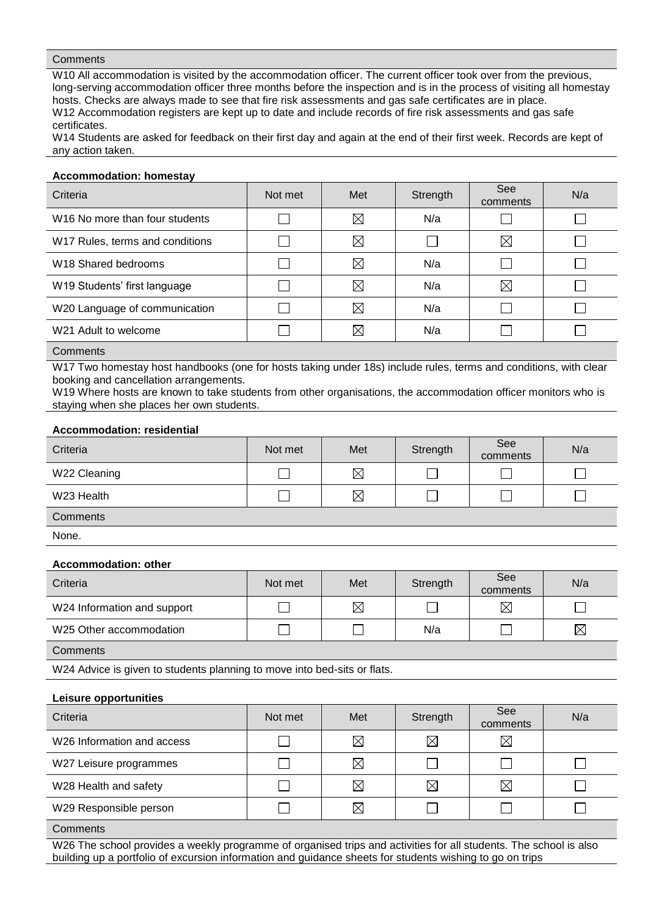W10 All accommodation is visited by the accommodation officer. The current officer took over from the previous, long-serving accommodation officer three months before the inspection and is in the process of visiting all homestay hosts. Checks are always made to see that fire risk assessments and gas safe certificates are in place. W12 Accommodation registers are kept up to date and include records of fire risk assessments and gas safe certificates.

W14 Students are asked for feedback on their first day and again at the end of their first week. Records are kept of any action taken.

#### **Accommodation: homestay**

| Criteria                                   | Not met | Met         | Strength | See<br>comments | N/a |
|--------------------------------------------|---------|-------------|----------|-----------------|-----|
| W <sub>16</sub> No more than four students |         | $\boxtimes$ | N/a      |                 |     |
| W17 Rules, terms and conditions            |         | $\boxtimes$ |          | $\boxtimes$     |     |
| W <sub>18</sub> Shared bedrooms            |         | $\boxtimes$ | N/a      |                 |     |
| W19 Students' first language               |         | $\boxtimes$ | N/a      | ⊠               |     |
| W20 Language of communication              |         | $\boxtimes$ | N/a      |                 |     |
| W21 Adult to welcome                       |         | $\boxtimes$ | N/a      |                 |     |
|                                            |         |             |          |                 |     |

**Comments** 

W17 Two homestay host handbooks (one for hosts taking under 18s) include rules, terms and conditions, with clear booking and cancellation arrangements.

W19 Where hosts are known to take students from other organisations, the accommodation officer monitors who is staying when she places her own students.

#### **Accommodation: residential**

| Criteria     | Not met | Met         | Strength | See<br>comments | N/a |
|--------------|---------|-------------|----------|-----------------|-----|
| W22 Cleaning |         | $\boxtimes$ |          |                 |     |
| W23 Health   |         | $\boxtimes$ |          |                 |     |
| Comments     |         |             |          |                 |     |

None.

#### **Accommodation: other**

| AUUUIIIIUUUUUUII. UUIUI     |         |             |          |                 |             |
|-----------------------------|---------|-------------|----------|-----------------|-------------|
| Criteria                    | Not met | Met         | Strength | See<br>comments | N/a         |
| W24 Information and support |         | $\boxtimes$ |          | $\boxtimes$     |             |
| W25 Other accommodation     |         |             | N/a      |                 | $\boxtimes$ |
| Comments                    |         |             |          |                 |             |

W24 Advice is given to students planning to move into bed-sits or flats.

#### **Leisure opportunities**

| Criteria                               | Not met | Met         | Strength    | <b>See</b><br>comments | N/a |
|----------------------------------------|---------|-------------|-------------|------------------------|-----|
| W <sub>26</sub> Information and access |         | $\boxtimes$ | $\boxtimes$ | $\boxtimes$            |     |
| W27 Leisure programmes                 |         | $\boxtimes$ |             |                        |     |
| W28 Health and safety                  |         | $\boxtimes$ | $\boxtimes$ | $\boxtimes$            |     |
| W29 Responsible person                 |         | $\boxtimes$ |             |                        |     |
| $\sim$ $\sim$ $\sim$                   |         |             |             |                        |     |

**Comments** 

W26 The school provides a weekly programme of organised trips and activities for all students. The school is also building up a portfolio of excursion information and guidance sheets for students wishing to go on trips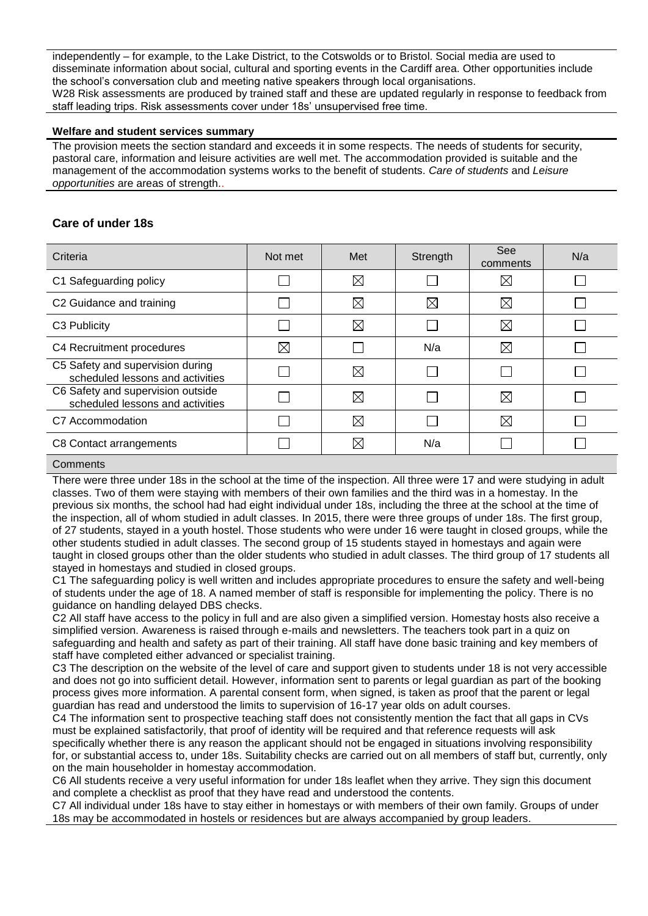independently – for example, to the Lake District, to the Cotswolds or to Bristol. Social media are used to disseminate information about social, cultural and sporting events in the Cardiff area. Other opportunities include the school's conversation club and meeting native speakers through local organisations. W28 Risk assessments are produced by trained staff and these are updated regularly in response to feedback from staff leading trips. Risk assessments cover under 18s' unsupervised free time.

#### **Welfare and student services summary**

The provision meets the section standard and exceeds it in some respects. The needs of students for security, pastoral care, information and leisure activities are well met. The accommodation provided is suitable and the management of the accommodation systems works to the benefit of students. *Care of students* and *Leisure opportunities* are areas of strength..

## **Care of under 18s**

| Criteria                                                              | Not met     | Met         | Strength    | See<br>comments | N/a |
|-----------------------------------------------------------------------|-------------|-------------|-------------|-----------------|-----|
| C1 Safeguarding policy                                                |             | $\boxtimes$ |             | $\boxtimes$     |     |
| C2 Guidance and training                                              |             | $\boxtimes$ | $\boxtimes$ | $\boxtimes$     |     |
| C3 Publicity                                                          |             | $\boxtimes$ |             | $\boxtimes$     |     |
| C4 Recruitment procedures                                             | $\boxtimes$ |             | N/a         | $\boxtimes$     |     |
| C5 Safety and supervision during<br>scheduled lessons and activities  |             | $\boxtimes$ |             |                 |     |
| C6 Safety and supervision outside<br>scheduled lessons and activities |             | $\boxtimes$ |             | $\boxtimes$     |     |
| C7 Accommodation                                                      |             | $\boxtimes$ |             | $\boxtimes$     |     |
| C8 Contact arrangements                                               |             | ⊠           | N/a         |                 |     |

#### **Comments**

There were three under 18s in the school at the time of the inspection. All three were 17 and were studying in adult classes. Two of them were staying with members of their own families and the third was in a homestay. In the previous six months, the school had had eight individual under 18s, including the three at the school at the time of the inspection, all of whom studied in adult classes. In 2015, there were three groups of under 18s. The first group, of 27 students, stayed in a youth hostel. Those students who were under 16 were taught in closed groups, while the other students studied in adult classes. The second group of 15 students stayed in homestays and again were taught in closed groups other than the older students who studied in adult classes. The third group of 17 students all stayed in homestays and studied in closed groups.

C1 The safeguarding policy is well written and includes appropriate procedures to ensure the safety and well-being of students under the age of 18. A named member of staff is responsible for implementing the policy. There is no guidance on handling delayed DBS checks.

C2 All staff have access to the policy in full and are also given a simplified version. Homestay hosts also receive a simplified version. Awareness is raised through e-mails and newsletters. The teachers took part in a quiz on safeguarding and health and safety as part of their training. All staff have done basic training and key members of staff have completed either advanced or specialist training.

C3 The description on the website of the level of care and support given to students under 18 is not very accessible and does not go into sufficient detail. However, information sent to parents or legal guardian as part of the booking process gives more information. A parental consent form, when signed, is taken as proof that the parent or legal guardian has read and understood the limits to supervision of 16-17 year olds on adult courses.

C4 The information sent to prospective teaching staff does not consistently mention the fact that all gaps in CVs must be explained satisfactorily, that proof of identity will be required and that reference requests will ask specifically whether there is any reason the applicant should not be engaged in situations involving responsibility for, or substantial access to, under 18s. Suitability checks are carried out on all members of staff but, currently, only

on the main householder in homestay accommodation. C6 All students receive a very useful information for under 18s leaflet when they arrive. They sign this document and complete a checklist as proof that they have read and understood the contents.

C7 All individual under 18s have to stay either in homestays or with members of their own family. Groups of under 18s may be accommodated in hostels or residences but are always accompanied by group leaders.